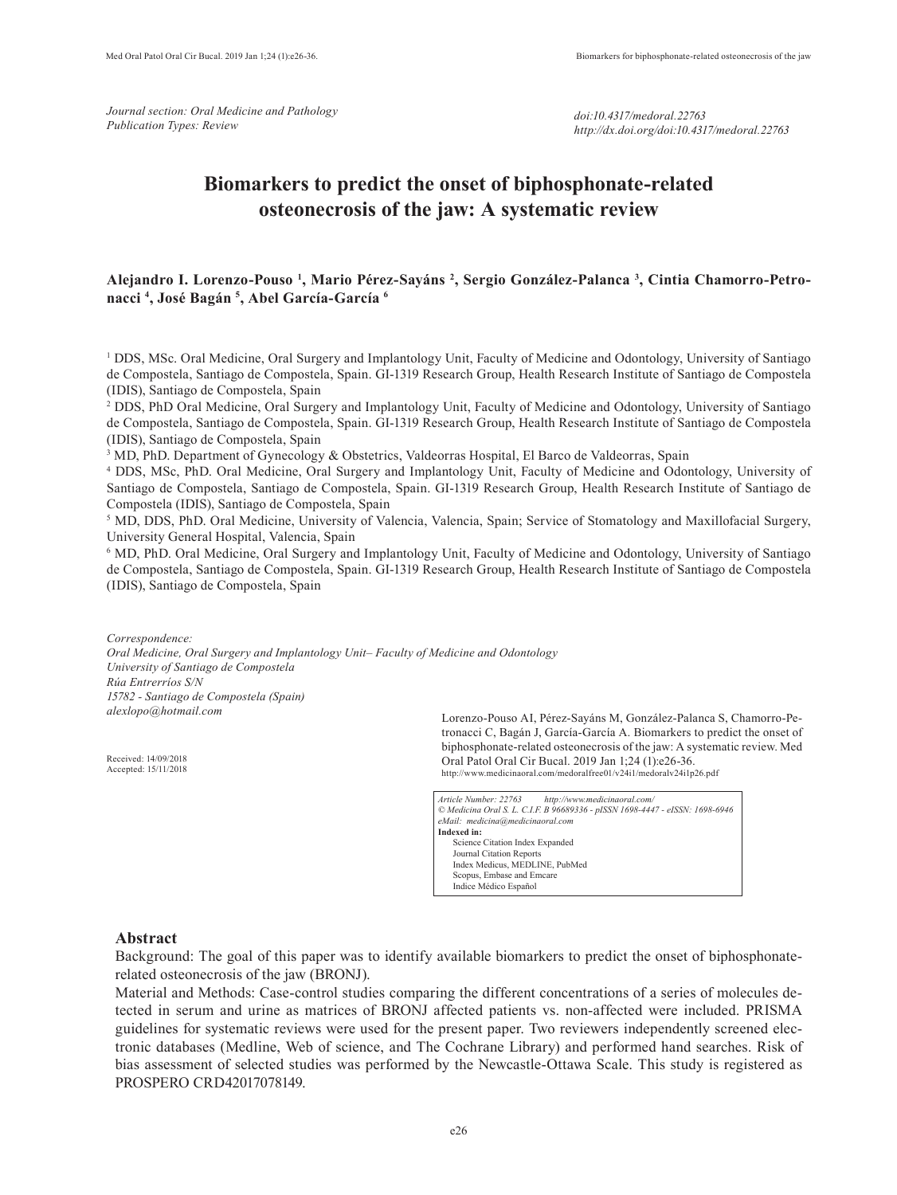*Journal section: Oral Medicine and Pathology Publication Types: Review*

# **Biomarkers to predict the onset of biphosphonate-related osteonecrosis of the jaw: A systematic review**

# **Alejandro I. Lorenzo-Pouso 1 , Mario Pérez-Sayáns 2 , Sergio González-Palanca 3 , Cintia Chamorro-Petronacci 4 , José Bagán 5 , Abel García-García 6**

<sup>1</sup> DDS, MSc. Oral Medicine, Oral Surgery and Implantology Unit, Faculty of Medicine and Odontology, University of Santiago de Compostela, Santiago de Compostela, Spain. GI-1319 Research Group, Health Research Institute of Santiago de Compostela (IDIS), Santiago de Compostela, Spain

2 DDS, PhD Oral Medicine, Oral Surgery and Implantology Unit, Faculty of Medicine and Odontology, University of Santiago de Compostela, Santiago de Compostela, Spain. GI-1319 Research Group, Health Research Institute of Santiago de Compostela (IDIS), Santiago de Compostela, Spain

3 MD, PhD. Department of Gynecology & Obstetrics, Valdeorras Hospital, El Barco de Valdeorras, Spain

4 DDS, MSc, PhD. Oral Medicine, Oral Surgery and Implantology Unit, Faculty of Medicine and Odontology, University of Santiago de Compostela, Santiago de Compostela, Spain. GI-1319 Research Group, Health Research Institute of Santiago de Compostela (IDIS), Santiago de Compostela, Spain

<sup>5</sup> MD, DDS, PhD. Oral Medicine, University of Valencia, Valencia, Spain; Service of Stomatology and Maxillofacial Surgery, University General Hospital, Valencia, Spain

6 MD, PhD. Oral Medicine, Oral Surgery and Implantology Unit, Faculty of Medicine and Odontology, University of Santiago de Compostela, Santiago de Compostela, Spain. GI-1319 Research Group, Health Research Institute of Santiago de Compostela (IDIS), Santiago de Compostela, Spain

*Correspondence: Oral Medicine, Oral Surgery and Implantology Unit– Faculty of Medicine and Odontology University of Santiago de Compostela Rúa Entrerríos S/N 15782 - Santiago de Compostela (Spain) alexlopo@hotmail.com* 

Received: 14/09/2018 Accepted: 15/11/2018

Lorenzo-Pouso AI, Pérez-Sayáns M, González-Palanca S, Chamorro-Petronacci C, Bagán J, García-García A. Biomarkers to predict the onset of biphosphonate-related osteonecrosis of the jaw: A systematic review. Med Oral Patol Oral Cir Bucal. 2019 Jan 1;24 (1):e26-36. http://www.medicinaoral.com/medoralfree01/v24i1/medoralv24i1p26.pdf

*Article Number: 22763 http://www.medicinaoral.com/ © Medicina Oral S. L. C.I.F. B 96689336 - pISSN 1698-4447 - eISSN: 1698-6946 eMail: medicina@medicinaoral.com*  **Indexed in:**  Science Citation Index Expanded Journal Citation Reports Index Medicus, MEDLINE, PubMed Scopus, Embase and Emcare Indice Médico Español

## **Abstract**

Background: The goal of this paper was to identify available biomarkers to predict the onset of biphosphonaterelated osteonecrosis of the jaw (BRONJ).

Material and Methods: Case-control studies comparing the different concentrations of a series of molecules detected in serum and urine as matrices of BRONJ affected patients vs. non-affected were included. PRISMA guidelines for systematic reviews were used for the present paper. Two reviewers independently screened electronic databases (Medline, Web of science, and The Cochrane Library) and performed hand searches. Risk of bias assessment of selected studies was performed by the Newcastle-Ottawa Scale. This study is registered as PROSPERO CRD42017078149.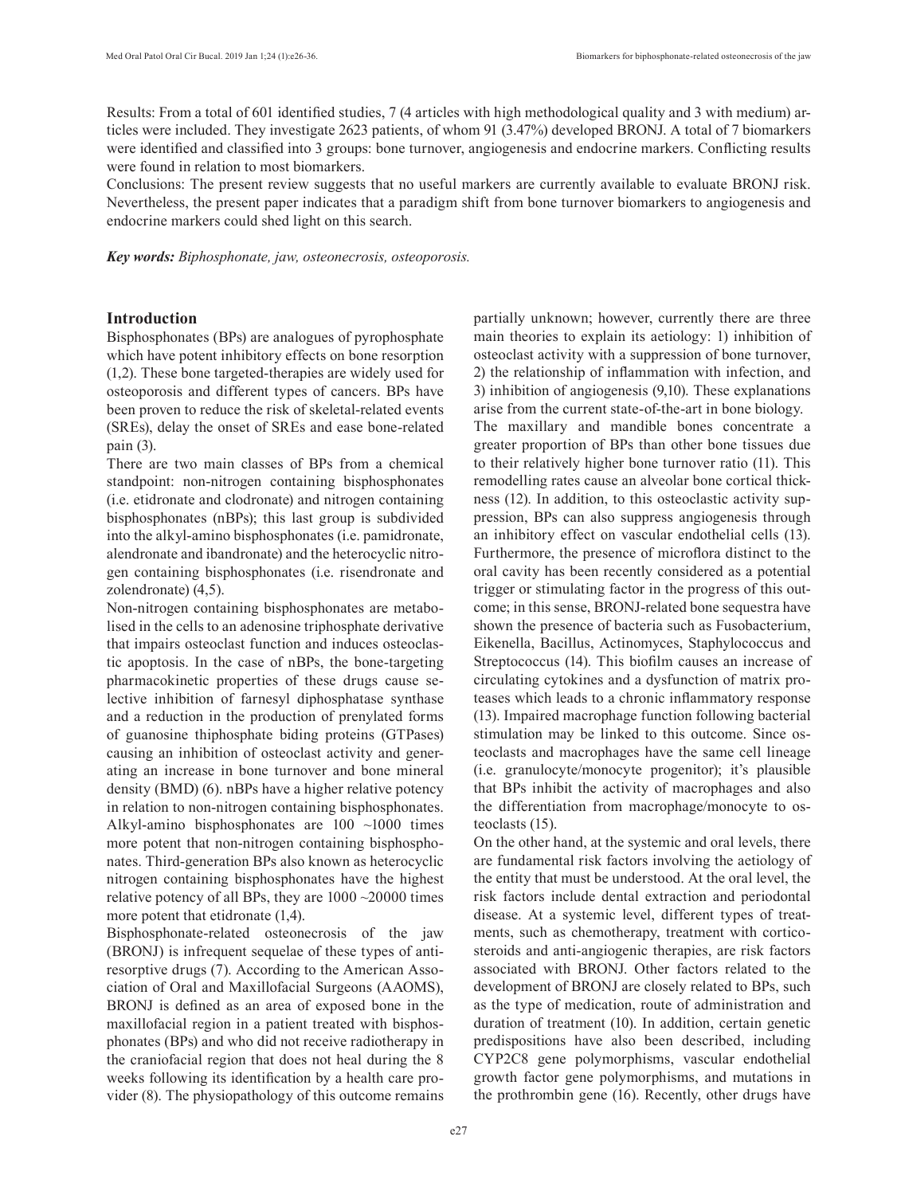Results: From a total of 601 identified studies, 7 (4 articles with high methodological quality and 3 with medium) articles were included. They investigate 2623 patients, of whom 91 (3.47%) developed BRONJ. A total of 7 biomarkers were identified and classified into 3 groups: bone turnover, angiogenesis and endocrine markers. Conflicting results were found in relation to most biomarkers.

Conclusions: The present review suggests that no useful markers are currently available to evaluate BRONJ risk. Nevertheless, the present paper indicates that a paradigm shift from bone turnover biomarkers to angiogenesis and endocrine markers could shed light on this search.

*Key words: Biphosphonate, jaw, osteonecrosis, osteoporosis.* 

## **Introduction**

Bisphosphonates (BPs) are analogues of pyrophosphate which have potent inhibitory effects on bone resorption (1,2). These bone targeted-therapies are widely used for osteoporosis and different types of cancers. BPs have been proven to reduce the risk of skeletal-related events (SREs), delay the onset of SREs and ease bone-related pain (3).

There are two main classes of BPs from a chemical standpoint: non-nitrogen containing bisphosphonates (i.e. etidronate and clodronate) and nitrogen containing bisphosphonates (nBPs); this last group is subdivided into the alkyl-amino bisphosphonates (i.e. pamidronate, alendronate and ibandronate) and the heterocyclic nitrogen containing bisphosphonates (i.e. risendronate and zolendronate) (4,5).

Non-nitrogen containing bisphosphonates are metabolised in the cells to an adenosine triphosphate derivative that impairs osteoclast function and induces osteoclastic apoptosis. In the case of nBPs, the bone-targeting pharmacokinetic properties of these drugs cause selective inhibition of farnesyl diphosphatase synthase and a reduction in the production of prenylated forms of guanosine thiphosphate biding proteins (GTPases) causing an inhibition of osteoclast activity and generating an increase in bone turnover and bone mineral density (BMD) (6). nBPs have a higher relative potency in relation to non-nitrogen containing bisphosphonates. Alkyl-amino bisphosphonates are  $100 \sim 1000$  times more potent that non-nitrogen containing bisphosphonates. Third-generation BPs also known as heterocyclic nitrogen containing bisphosphonates have the highest relative potency of all BPs, they are 1000 ~20000 times more potent that etidronate (1,4).

Bisphosphonate-related osteonecrosis of the jaw (BRONJ) is infrequent sequelae of these types of antiresorptive drugs (7). According to the American Association of Oral and Maxillofacial Surgeons (AAOMS), BRONJ is defined as an area of exposed bone in the maxillofacial region in a patient treated with bisphosphonates (BPs) and who did not receive radiotherapy in the craniofacial region that does not heal during the 8 weeks following its identification by a health care provider (8). The physiopathology of this outcome remains partially unknown; however, currently there are three main theories to explain its aetiology: 1) inhibition of osteoclast activity with a suppression of bone turnover, 2) the relationship of inflammation with infection, and 3) inhibition of angiogenesis (9,10). These explanations arise from the current state-of-the-art in bone biology.

The maxillary and mandible bones concentrate a greater proportion of BPs than other bone tissues due to their relatively higher bone turnover ratio (11). This remodelling rates cause an alveolar bone cortical thickness (12). In addition, to this osteoclastic activity suppression, BPs can also suppress angiogenesis through an inhibitory effect on vascular endothelial cells (13). Furthermore, the presence of microflora distinct to the oral cavity has been recently considered as a potential trigger or stimulating factor in the progress of this outcome; in this sense, BRONJ-related bone sequestra have shown the presence of bacteria such as Fusobacterium, Eikenella, Bacillus, Actinomyces, Staphylococcus and Streptococcus (14). This biofilm causes an increase of circulating cytokines and a dysfunction of matrix proteases which leads to a chronic inflammatory response (13). Impaired macrophage function following bacterial stimulation may be linked to this outcome. Since osteoclasts and macrophages have the same cell lineage (i.e. granulocyte/monocyte progenitor); it's plausible that BPs inhibit the activity of macrophages and also the differentiation from macrophage/monocyte to osteoclasts (15).

On the other hand, at the systemic and oral levels, there are fundamental risk factors involving the aetiology of the entity that must be understood. At the oral level, the risk factors include dental extraction and periodontal disease. At a systemic level, different types of treatments, such as chemotherapy, treatment with corticosteroids and anti-angiogenic therapies, are risk factors associated with BRONJ. Other factors related to the development of BRONJ are closely related to BPs, such as the type of medication, route of administration and duration of treatment (10). In addition, certain genetic predispositions have also been described, including CYP2C8 gene polymorphisms, vascular endothelial growth factor gene polymorphisms, and mutations in the prothrombin gene (16). Recently, other drugs have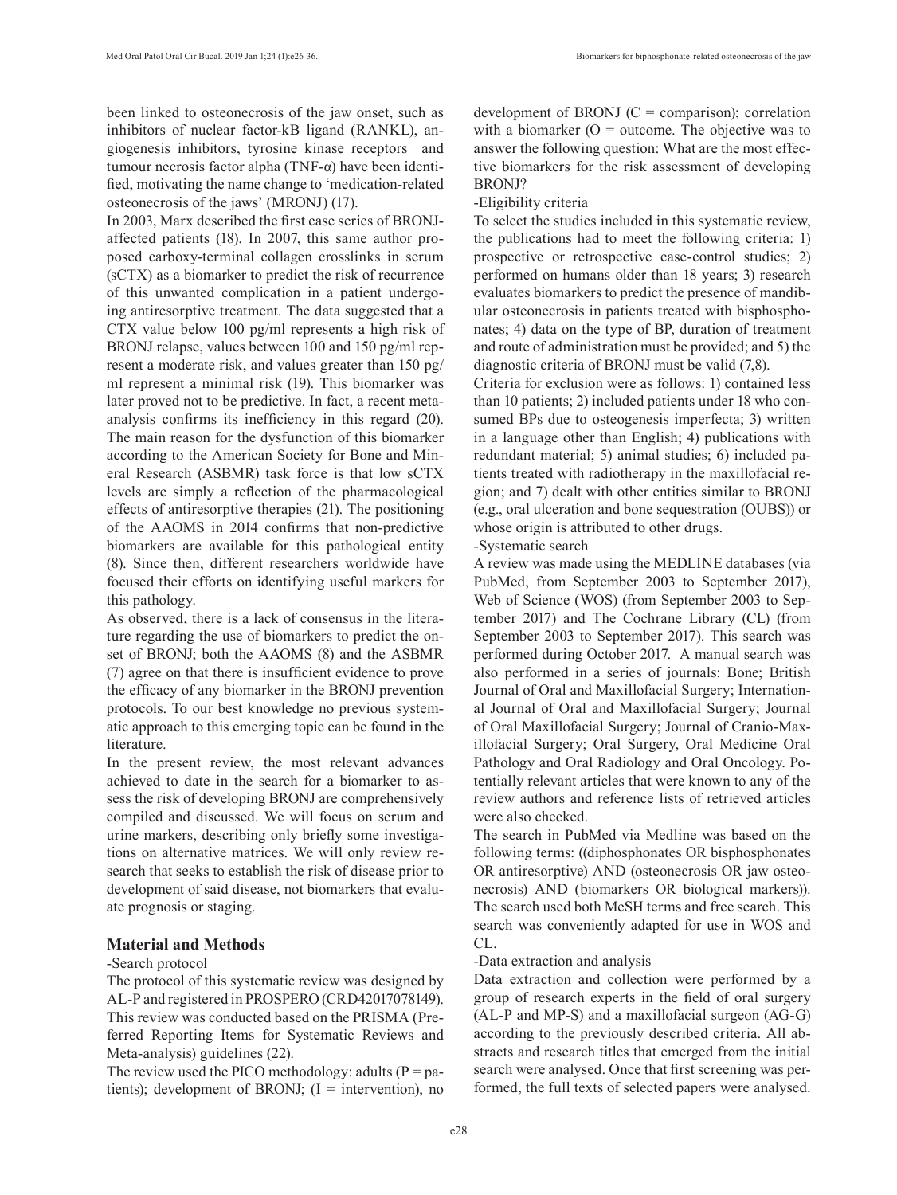been linked to osteonecrosis of the jaw onset, such as inhibitors of nuclear factor-kB ligand (RANKL), angiogenesis inhibitors, tyrosine kinase receptors and tumour necrosis factor alpha (TNF-α) have been identified, motivating the name change to 'medication-related osteonecrosis of the jaws' (MRONJ) (17).

In 2003, Marx described the first case series of BRONJaffected patients (18). In 2007, this same author proposed carboxy-terminal collagen crosslinks in serum (sCTX) as a biomarker to predict the risk of recurrence of this unwanted complication in a patient undergoing antiresorptive treatment. The data suggested that a CTX value below 100 pg/ml represents a high risk of BRONJ relapse, values between 100 and 150 pg/ml represent a moderate risk, and values greater than 150 pg/ ml represent a minimal risk (19). This biomarker was later proved not to be predictive. In fact, a recent metaanalysis confirms its inefficiency in this regard (20). The main reason for the dysfunction of this biomarker according to the American Society for Bone and Mineral Research (ASBMR) task force is that low sCTX levels are simply a reflection of the pharmacological effects of antiresorptive therapies (21). The positioning of the AAOMS in 2014 confirms that non-predictive biomarkers are available for this pathological entity (8). Since then, different researchers worldwide have focused their efforts on identifying useful markers for this pathology.

As observed, there is a lack of consensus in the literature regarding the use of biomarkers to predict the onset of BRONJ; both the AAOMS (8) and the ASBMR (7) agree on that there is insufficient evidence to prove the efficacy of any biomarker in the BRONJ prevention protocols. To our best knowledge no previous systematic approach to this emerging topic can be found in the literature.

In the present review, the most relevant advances achieved to date in the search for a biomarker to assess the risk of developing BRONJ are comprehensively compiled and discussed. We will focus on serum and urine markers, describing only briefly some investigations on alternative matrices. We will only review research that seeks to establish the risk of disease prior to development of said disease, not biomarkers that evaluate prognosis or staging.

#### **Material and Methods**

#### -Search protocol

The protocol of this systematic review was designed by AL-P and registered in PROSPERO (CRD42017078149). This review was conducted based on the PRISMA (Preferred Reporting Items for Systematic Reviews and Meta-analysis) guidelines (22).

The review used the PICO methodology: adults ( $P =$  patients); development of BRONJ;  $(I =$  intervention), no development of BRONJ  $(C = \text{comparison})$ ; correlation with a biomarker  $(O = outcome)$ . The objective was to answer the following question: What are the most effective biomarkers for the risk assessment of developing BRONJ?

#### -Eligibility criteria

To select the studies included in this systematic review, the publications had to meet the following criteria: 1) prospective or retrospective case-control studies; 2) performed on humans older than 18 years; 3) research evaluates biomarkers to predict the presence of mandibular osteonecrosis in patients treated with bisphosphonates; 4) data on the type of BP, duration of treatment and route of administration must be provided; and 5) the diagnostic criteria of BRONJ must be valid (7,8).

Criteria for exclusion were as follows: 1) contained less than 10 patients; 2) included patients under 18 who consumed BPs due to osteogenesis imperfecta; 3) written in a language other than English; 4) publications with redundant material; 5) animal studies; 6) included patients treated with radiotherapy in the maxillofacial region; and 7) dealt with other entities similar to BRONJ (e.g., oral ulceration and bone sequestration (OUBS)) or whose origin is attributed to other drugs.

#### -Systematic search

A review was made using the MEDLINE databases (via PubMed, from September 2003 to September 2017), Web of Science (WOS) (from September 2003 to September 2017) and The Cochrane Library (CL) (from September 2003 to September 2017). This search was performed during October 2017. A manual search was also performed in a series of journals: Bone; British Journal of Oral and Maxillofacial Surgery; International Journal of Oral and Maxillofacial Surgery; Journal of Oral Maxillofacial Surgery; Journal of Cranio-Maxillofacial Surgery; Oral Surgery, Oral Medicine Oral Pathology and Oral Radiology and Oral Oncology. Potentially relevant articles that were known to any of the review authors and reference lists of retrieved articles were also checked.

The search in PubMed via Medline was based on the following terms: ((diphosphonates OR bisphosphonates OR antiresorptive) AND (osteonecrosis OR jaw osteonecrosis) AND (biomarkers OR biological markers)). The search used both MeSH terms and free search. This search was conveniently adapted for use in WOS and CL.

#### -Data extraction and analysis

Data extraction and collection were performed by a group of research experts in the field of oral surgery (AL-P and MP-S) and a maxillofacial surgeon (AG-G) according to the previously described criteria. All abstracts and research titles that emerged from the initial search were analysed. Once that first screening was performed, the full texts of selected papers were analysed.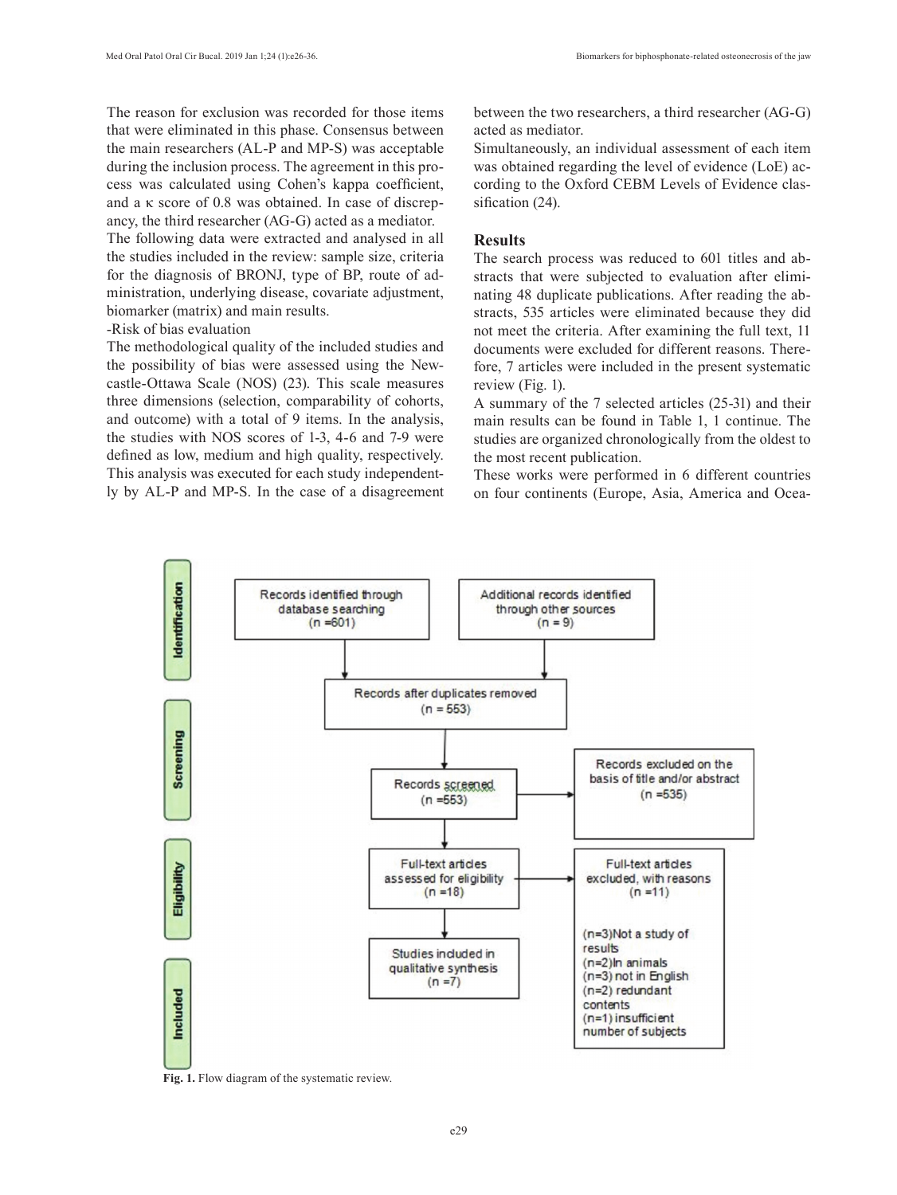The reason for exclusion was recorded for those items that were eliminated in this phase. Consensus between the main researchers (AL-P and MP-S) was acceptable during the inclusion process. The agreement in this process was calculated using Cohen's kappa coefficient, and a κ score of 0.8 was obtained. In case of discrepancy, the third researcher (AG-G) acted as a mediator.

The following data were extracted and analysed in all the studies included in the review: sample size, criteria for the diagnosis of BRONJ, type of BP, route of administration, underlying disease, covariate adjustment, biomarker (matrix) and main results.

### -Risk of bias evaluation

The methodological quality of the included studies and the possibility of bias were assessed using the Newcastle-Ottawa Scale (NOS) (23). This scale measures three dimensions (selection, comparability of cohorts, and outcome) with a total of 9 items. In the analysis, the studies with NOS scores of 1-3, 4-6 and 7-9 were defined as low, medium and high quality, respectively. This analysis was executed for each study independently by AL-P and MP-S. In the case of a disagreement between the two researchers, a third researcher (AG-G) acted as mediator.

Simultaneously, an individual assessment of each item was obtained regarding the level of evidence (LoE) according to the Oxford CEBM Levels of Evidence classification (24).

# **Results**

The search process was reduced to 601 titles and abstracts that were subjected to evaluation after eliminating 48 duplicate publications. After reading the abstracts, 535 articles were eliminated because they did not meet the criteria. After examining the full text, 11 documents were excluded for different reasons. Therefore, 7 articles were included in the present systematic review (Fig. 1).

A summary of the 7 selected articles (25-31) and their main results can be found in Table 1, 1 continue. The studies are organized chronologically from the oldest to the most recent publication.

These works were performed in 6 different countries on four continents (Europe, Asia, America and Ocea-



**Fig. 1.** Flow diagram of the systematic review.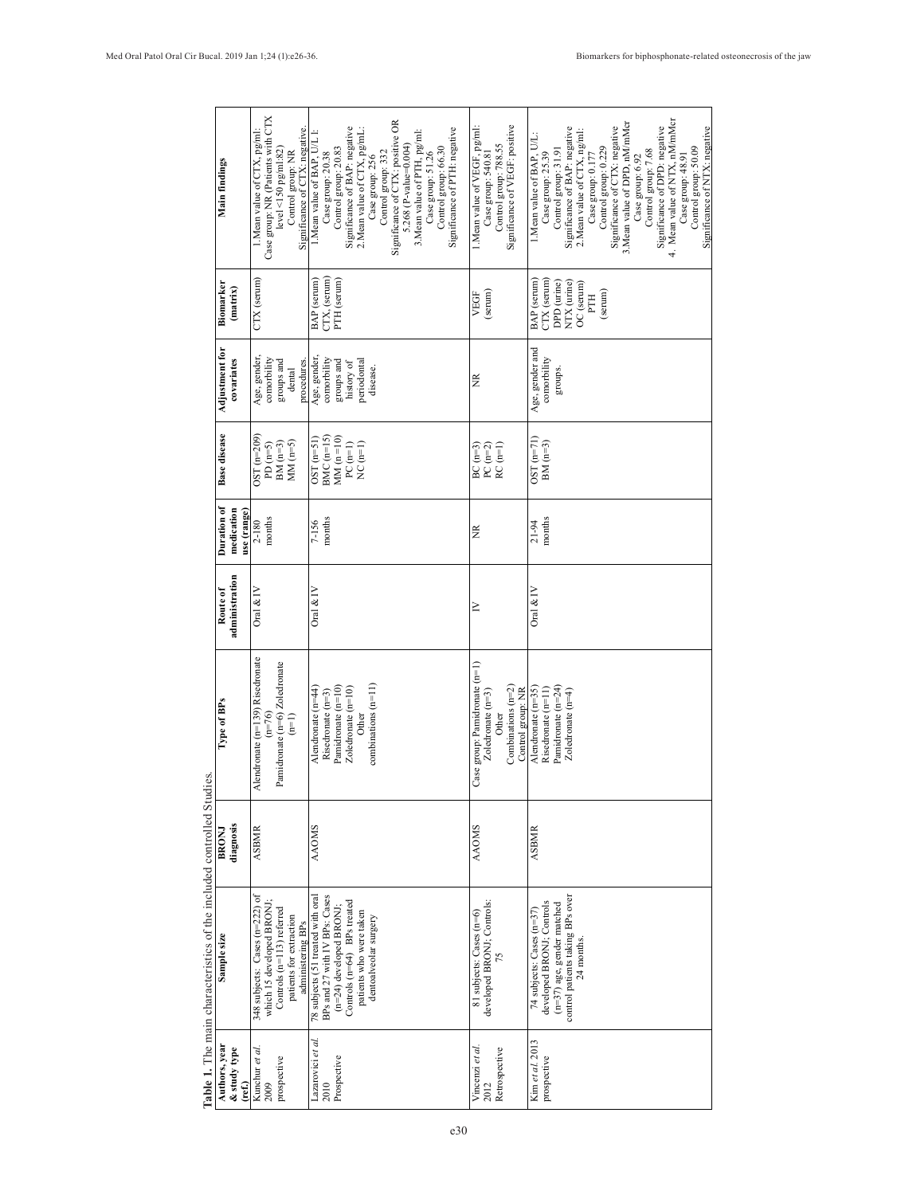|                                                                                                                                     | Main findings                            | Case group: NR (Patients with CTX<br>Significance of CTX: negative<br>1. Mean value of CTX, pg/ml:<br>$level < 150$ pg/ml:82)<br>Control group: NR | Significance of CTX: positive OR<br>Significance of BAP: negative<br>Significance of PTH: negative<br>2.Mean value of CTX, pg/mL:<br>3. Mean value of PTH, pg/ml:<br>1. Mean value of BAP, U/L<br>5.268 (P-value=0.004)<br>Control group: 66.30<br>Control group: 20.83<br>Control group: 332<br>Case group: 20.38<br>Case group: 51.26<br>Case group: 256 | Significance of VEGF: positive<br>1. Mean value of VEGF, pg/ml:<br>Control group: 788.55<br>Case group: 540.81 | 4. Mean value of NTX, nM/mMcr<br>3. Mean value of DPD, nM/mMcr<br>Significance of DPD: negative<br>Significance of CTX: negative<br>Significance of NTX: negative<br>Significance of BAP: negative<br>2. Mean value of CTX, ng/ml:<br>1.Mean value of BAP, U/L:<br>Control group: 0.229<br>Control group: 50.09<br>Control group: 31.91<br>Control group: 7.68<br>Case group: 25.39<br>Case group: 48.91<br>Case group: 6.92<br>Case group: 0.177 |
|-------------------------------------------------------------------------------------------------------------------------------------|------------------------------------------|----------------------------------------------------------------------------------------------------------------------------------------------------|------------------------------------------------------------------------------------------------------------------------------------------------------------------------------------------------------------------------------------------------------------------------------------------------------------------------------------------------------------|----------------------------------------------------------------------------------------------------------------|---------------------------------------------------------------------------------------------------------------------------------------------------------------------------------------------------------------------------------------------------------------------------------------------------------------------------------------------------------------------------------------------------------------------------------------------------|
|                                                                                                                                     | Biomarker<br>(matrix)                    | CTX (serum)                                                                                                                                        | (TX, (serum)<br>BAP (serum)<br>PTH (serum)                                                                                                                                                                                                                                                                                                                 | (serum)<br>VEGF                                                                                                | BAP (serum)<br>CTX (serum)<br>DPD (urine)<br>NTX (urine)<br>OC (serum)<br>(serum)<br>PTH                                                                                                                                                                                                                                                                                                                                                          |
|                                                                                                                                     | <b>Adjustment</b> for<br>covariates      | Age, gender,<br>comorbility<br>groups and<br>procedures<br>dental                                                                                  | Age, gender,<br>comorbility<br>periodontal<br>groups and<br>history of<br>disease.                                                                                                                                                                                                                                                                         | ž                                                                                                              | Age, gender and<br>comorbility<br>groups.                                                                                                                                                                                                                                                                                                                                                                                                         |
|                                                                                                                                     | <b>Base</b> disease                      | $OST(n=209)$<br>$MM$ (n=5)<br>$BM(n=3)$<br>$PD(n=5)$                                                                                               | $BMC$ (n=15)<br>$MM(n=10)$<br>$OST(n=51)$<br>$PC(m=1)$<br>NC $(m=1)$                                                                                                                                                                                                                                                                                       | $BC (n=3)$<br>PC $(n=2)$<br>$RC(m=1)$                                                                          | $OST(n=71)$<br>$BM(n=3)$                                                                                                                                                                                                                                                                                                                                                                                                                          |
|                                                                                                                                     | Duration of<br>medication<br>use (range) | months<br>$2 - 180$                                                                                                                                | months<br>7-156                                                                                                                                                                                                                                                                                                                                            | ž                                                                                                              | months<br>21-94                                                                                                                                                                                                                                                                                                                                                                                                                                   |
|                                                                                                                                     | administration<br>Route of               | Oral $&IV$                                                                                                                                         | Oral $&IV$                                                                                                                                                                                                                                                                                                                                                 | $\geq$                                                                                                         | Oral $\&$ IV                                                                                                                                                                                                                                                                                                                                                                                                                                      |
| $\frac{1}{2}$ . The contract contract contract contract contract of $\frac{1}{2}$ . The contract contract contract of $\frac{1}{2}$ | Type of BPs                              | Alendronate (n=139) Risedronate<br>Pamidronate (n=6) Zoledronate<br>$(n=76)$<br>$(1-\epsilon)$                                                     | combinations (n=11)<br>Pamidronate (n=10)<br>$Z$ oledronate $(n=10)$<br>Alendronate $(n=44)$<br>Risedronate $(n=3)$<br>Other                                                                                                                                                                                                                               | Case group: Pamidronate (n=1)<br>Combinations $(n=2)$<br>Control group: NR<br>Zoledronate $(n=3)$<br>Other     | $P$ amidronate (n=24)<br>Alendronate $(n=35)$<br>Risedronate (n=11)<br>Zoledronate $(n=4)$                                                                                                                                                                                                                                                                                                                                                        |
|                                                                                                                                     | diagnosis<br>BRONI                       | <b>ASBMR</b>                                                                                                                                       | <b>AAOMS</b>                                                                                                                                                                                                                                                                                                                                               | <b>AAOMS</b>                                                                                                   | <b>ASBMR</b>                                                                                                                                                                                                                                                                                                                                                                                                                                      |
|                                                                                                                                     | Sample size                              | 348 subjects: Cases (n=222) of<br>which 15 developed BRONJ;<br>Controls (n=113) referred<br>patients for extraction<br>administering BPs           | 78 subjects (51 treated with oral<br>BPs and 27 with IV BPs: Cases<br>Controls (n=64) BPs treated<br>$(n=24)$ developed BRONJ;<br>patients who were taken<br>dentoalveolar surgery                                                                                                                                                                         | developed BRONJ; Controls:<br>81 subjects: Cases (n=6)<br>75                                                   | control patients taking BPs over<br>developed BRONJ; Controls<br>$(n=37)$ age, gender matched<br>74 subjects: Cases (n=37)<br>24 months.                                                                                                                                                                                                                                                                                                          |
|                                                                                                                                     | Authors, year<br>& study type<br>ref.)   | Kunchur et al.<br>prospective<br>2009                                                                                                              | azarovici et al.<br>Prospective<br>2010                                                                                                                                                                                                                                                                                                                    | Vincenzi et al.<br>2012<br>Retrospective                                                                       | Kim et al. 2013<br>prospective                                                                                                                                                                                                                                                                                                                                                                                                                    |

Table 1. The main characteristics of the included controlled Studies **Table 1.** The main characteristics of the included controlled Studies.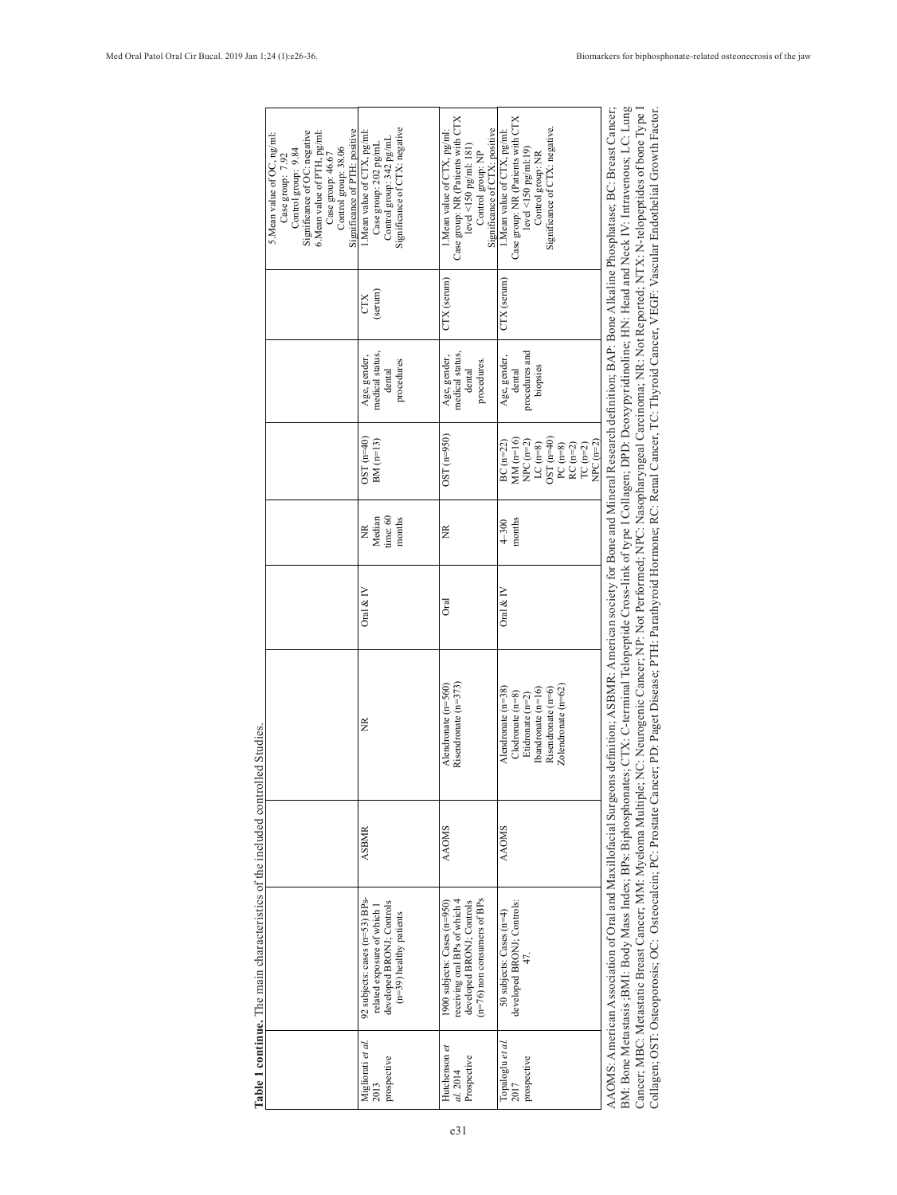| Significance of PTH: positive<br>Significance of OC: negative<br>6. Mean value of PTH, pg/ml:<br>5. Mean value of OC, ng/ml:<br>Control group: 38.06<br>Control group: 9.84<br>Case group: 46.67<br>Case group: 7.92 | Significance of CTX: negative<br>1. Mean value of CTX, pg/ml:<br>Control group: 342 pg/mL<br>Case group: 202 pg/mL      | Case group: NR (Patients with CTX<br>Significance of CTX: positive<br>1. Mean value of CTX, pg/ml:<br>$level < 150$ pg/ml: $181$<br>Control group: NP | Case group: NR (Patients with CTX<br>Significance of CTX: negative.<br>1. Mean value of CTX, pg/ml:<br>$level < 150$ pg/ml:19)<br>Control group: NR | definition; ASBMR: American society for Bone and Mineral Research definition; BAP: Bone Alkaline Phosphatase; BC: Breast Cancer;<br>Cancer; MBC: Metastatic Breast Cancer; MM: Myeloma Multiple; NG: Neurogenic Cancer; NP: Not Performed; NPC: Nasopharyngeal Carcinoma; NR: Not Reported; NTX: N-telopeptides of bone Type I<br>BM: Bone Metastasis ,BMI: Body Mass Index; BPs: Biphosphonates; CTX: C-terminal Telopeptide Cross-link of type I Collagen; DPD: Deoxypyridinoline; HN: Head and Neck IV: Intravenous; LC: Lung<br>Collagen; OST: Osteoporosis; OC: Osteocalcin; PC: Prostate Cancer; PD: Paget Disease; PTH: Parathyroid Hormone; RC: Renal Cancer, TC: Thyroid Cancer, VEGF: Vascular Endothelial Growth Factor. |
|----------------------------------------------------------------------------------------------------------------------------------------------------------------------------------------------------------------------|-------------------------------------------------------------------------------------------------------------------------|-------------------------------------------------------------------------------------------------------------------------------------------------------|-----------------------------------------------------------------------------------------------------------------------------------------------------|-------------------------------------------------------------------------------------------------------------------------------------------------------------------------------------------------------------------------------------------------------------------------------------------------------------------------------------------------------------------------------------------------------------------------------------------------------------------------------------------------------------------------------------------------------------------------------------------------------------------------------------------------------------------------------------------------------------------------------------|
|                                                                                                                                                                                                                      | (serum)<br><b>CTX</b>                                                                                                   | CTX (serum)                                                                                                                                           | CTX (serum)                                                                                                                                         |                                                                                                                                                                                                                                                                                                                                                                                                                                                                                                                                                                                                                                                                                                                                     |
|                                                                                                                                                                                                                      | medical status,<br>Age, gender,<br>procedures<br>dental                                                                 | medical status,<br>Age, gender,<br>procedures.<br>dental                                                                                              | procedures and<br>Age, gender,<br>biopsies<br>dental                                                                                                |                                                                                                                                                                                                                                                                                                                                                                                                                                                                                                                                                                                                                                                                                                                                     |
|                                                                                                                                                                                                                      | $OST(n=40)$<br>$BM(m=13)$                                                                                               | $OST(n=950)$                                                                                                                                          | $OST(n=40)$<br>$MM(m=16)$<br>$BC(n=22)$<br>NPC $(n=2)$<br>$NPC$ $(n=2)$<br>LC $(n=8)$<br>PC $(n=8)$<br>RC $(n=2)$<br>TC $(m=2)$                     |                                                                                                                                                                                                                                                                                                                                                                                                                                                                                                                                                                                                                                                                                                                                     |
|                                                                                                                                                                                                                      | ime:60<br>Median<br>months<br>$\widetilde{\Xi}$                                                                         | ž                                                                                                                                                     | months<br>$4 - 300$                                                                                                                                 |                                                                                                                                                                                                                                                                                                                                                                                                                                                                                                                                                                                                                                                                                                                                     |
|                                                                                                                                                                                                                      | Oral $&$ IV                                                                                                             | <b>J</b> ral                                                                                                                                          | Oral $\&$ IV                                                                                                                                        |                                                                                                                                                                                                                                                                                                                                                                                                                                                                                                                                                                                                                                                                                                                                     |
|                                                                                                                                                                                                                      | ž                                                                                                                       | Risendronate $(n=373)$<br>Alendronate (n=560)                                                                                                         | $Zolendronate (n=62)$<br>(handronate (n=16)<br>Risendronate (n=6)<br>Alendronate $(n=38)$<br>$C$ lodronate $(n=8)$<br>Etidronate (n=2)              |                                                                                                                                                                                                                                                                                                                                                                                                                                                                                                                                                                                                                                                                                                                                     |
|                                                                                                                                                                                                                      | <b>ASBMR</b>                                                                                                            | <b>AAOMS</b>                                                                                                                                          | <b>AAOMS</b>                                                                                                                                        |                                                                                                                                                                                                                                                                                                                                                                                                                                                                                                                                                                                                                                                                                                                                     |
| Table 1 continue. The main characteristics of the included controlled Studies                                                                                                                                        | 92 subjects: cases (n=53) BPs-<br>developed BRONJ; Controls<br>related exposure of which i<br>$(n=39)$ healthy patients | $n=76$ ) non consumers of BPs<br>receiving oral BPs of which 4<br>developed BRONJ; Controls<br>1900 subjects: Cases (n=950)                           | developed BRONJ; Controls:<br>50 subjects: Cases (n=4)                                                                                              | AAOMS: American Association of Oral and Maxillofacial Surgeons                                                                                                                                                                                                                                                                                                                                                                                                                                                                                                                                                                                                                                                                      |
|                                                                                                                                                                                                                      | Migliorati <i>et al.</i><br>2013<br>prospective                                                                         | Hutchenson et<br>Prospective<br>al. 2014                                                                                                              | Topaloglu et al.<br>prospective<br>2017                                                                                                             |                                                                                                                                                                                                                                                                                                                                                                                                                                                                                                                                                                                                                                                                                                                                     |

**Table 1 continue.** The main characteristics of the included controlled Studies. ontrolled Studies  $\begin{bmatrix} 1 & 1 \\ 1 & 1 \end{bmatrix}$  $f + h$ É  $\frac{1}{2}$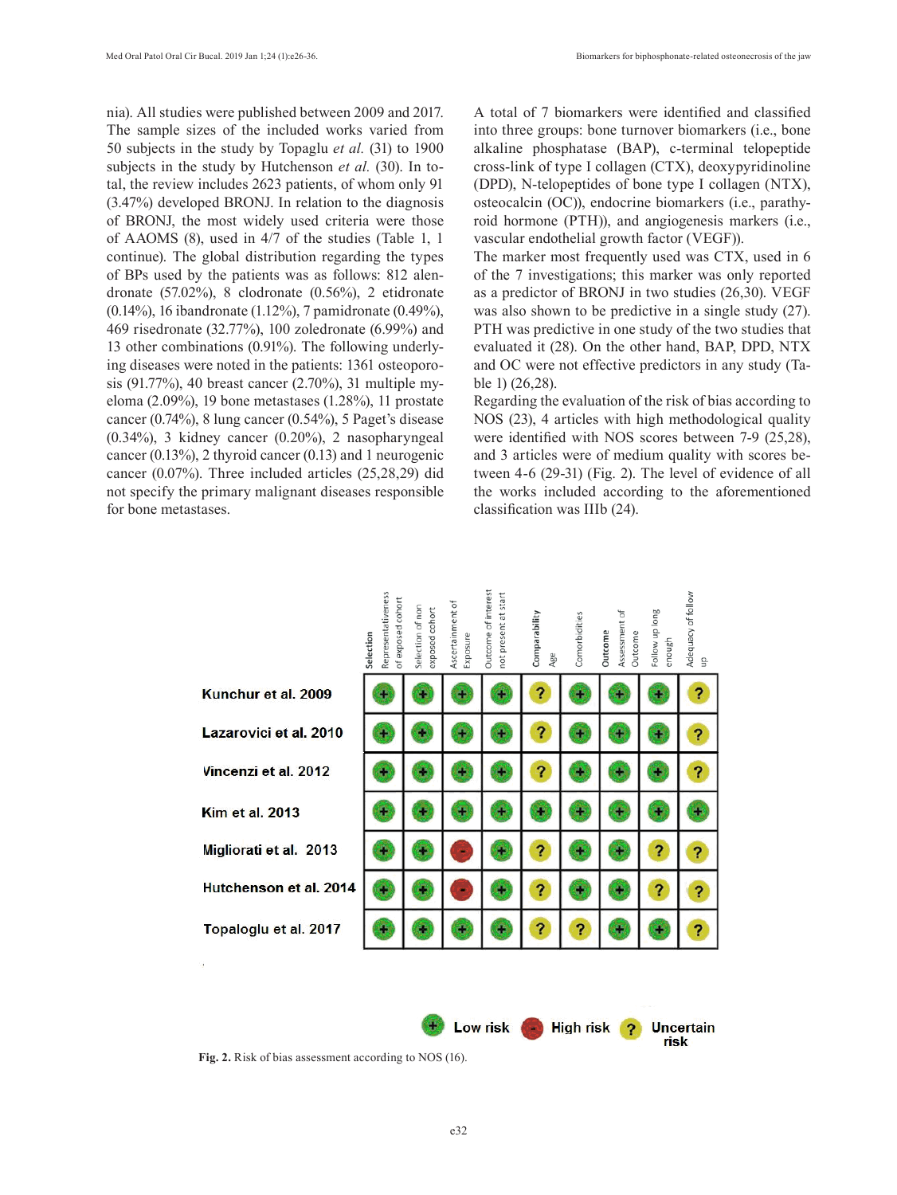nia). All studies were published between 2009 and 2017. The sample sizes of the included works varied from 50 subjects in the study by Topaglu *et al.* (31) to 1900 subjects in the study by Hutchenson *et al.* (30). In total, the review includes 2623 patients, of whom only 91 (3.47%) developed BRONJ. In relation to the diagnosis of BRONJ, the most widely used criteria were those of AAOMS (8), used in 4/7 of the studies (Table 1, 1 continue). The global distribution regarding the types of BPs used by the patients was as follows: 812 alendronate (57.02%), 8 clodronate (0.56%), 2 etidronate (0.14%), 16 ibandronate (1.12%), 7 pamidronate (0.49%), 469 risedronate (32.77%), 100 zoledronate (6.99%) and 13 other combinations (0.91%). The following underlying diseases were noted in the patients: 1361 osteoporosis (91.77%), 40 breast cancer (2.70%), 31 multiple myeloma (2.09%), 19 bone metastases (1.28%), 11 prostate cancer (0.74%), 8 lung cancer (0.54%), 5 Paget's disease (0.34%), 3 kidney cancer (0.20%), 2 nasopharyngeal cancer (0.13%), 2 thyroid cancer (0.13) and 1 neurogenic cancer (0.07%). Three included articles (25,28,29) did not specify the primary malignant diseases responsible for bone metastases.

A total of 7 biomarkers were identified and classified into three groups: bone turnover biomarkers (i.e., bone alkaline phosphatase (BAP), c-terminal telopeptide cross-link of type I collagen (CTX), deoxypyridinoline (DPD), N-telopeptides of bone type I collagen (NTX), osteocalcin (OC)), endocrine biomarkers (i.e., parathyroid hormone (PTH)), and angiogenesis markers (i.e., vascular endothelial growth factor (VEGF)).

The marker most frequently used was CTX, used in 6 of the 7 investigations; this marker was only reported as a predictor of BRONJ in two studies (26,30). VEGF was also shown to be predictive in a single study (27). PTH was predictive in one study of the two studies that evaluated it (28). On the other hand, BAP, DPD, NTX and OC were not effective predictors in any study (Table 1) (26,28).

Regarding the evaluation of the risk of bias according to NOS (23), 4 articles with high methodological quality were identified with NOS scores between 7-9 (25,28), and 3 articles were of medium quality with scores between 4-6 (29-31) (Fig. 2). The level of evidence of all the works included according to the aforementioned classification was IIIb (24).

|                        | Representativeness<br>of exposed cohort<br>Selection | Selection of non<br>exposed cohort | Ascertainment of<br>Exposure | Outcome of interes<br>not present at start | Comparability<br>Age | Comorbidities | Assessment of<br>Outcome<br>Outcome | Follow up long<br>enough | Adequacy of follow<br>읔 |
|------------------------|------------------------------------------------------|------------------------------------|------------------------------|--------------------------------------------|----------------------|---------------|-------------------------------------|--------------------------|-------------------------|
| Kunchur et al. 2009    |                                                      |                                    |                              |                                            | ?                    |               |                                     |                          | ?                       |
| Lazarovici et al. 2010 |                                                      |                                    |                              |                                            | ?                    |               |                                     |                          | 2                       |
| Vincenzi et al. 2012   |                                                      |                                    |                              |                                            | ?                    |               |                                     |                          | ?                       |
| <b>Kim et al. 2013</b> |                                                      |                                    |                              |                                            |                      |               |                                     |                          |                         |
| Migliorati et al. 2013 |                                                      |                                    |                              |                                            | ?                    |               |                                     | ?                        | ?                       |
| Hutchenson et al. 2014 |                                                      |                                    |                              |                                            | ?                    |               |                                     | ?                        | ?                       |
| Topaloglu et al. 2017  |                                                      |                                    |                              |                                            | ?                    | 2             |                                     |                          | ?                       |
| à,                     |                                                      |                                    |                              |                                            |                      |               |                                     |                          |                         |
|                        |                                                      |                                    |                              |                                            |                      |               |                                     |                          |                         |

**Fig. 2.** Risk of bias assessment according to NOS (16).

Low risk

High risk<sub>2</sub>

**Uncertain** risk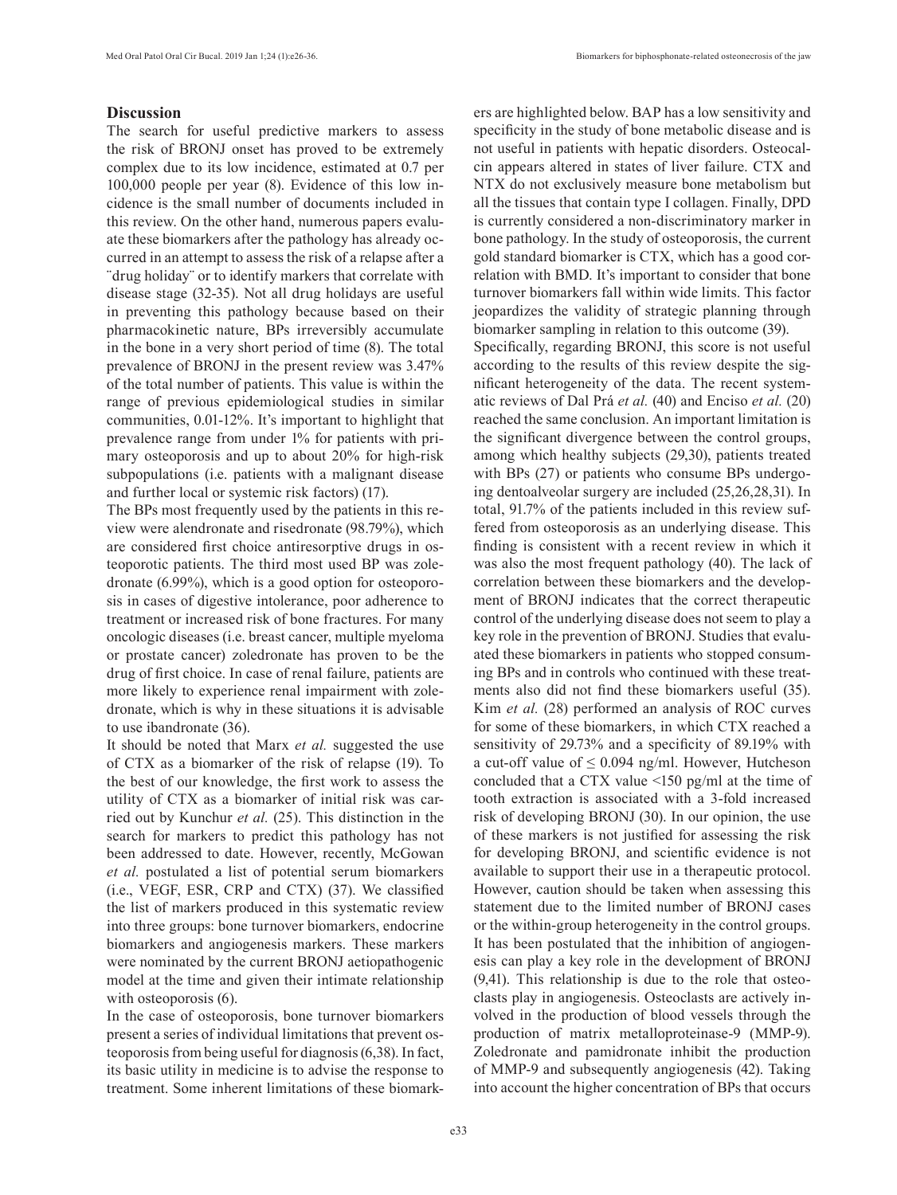# **Discussion**

The search for useful predictive markers to assess the risk of BRONJ onset has proved to be extremely complex due to its low incidence, estimated at 0.7 per 100,000 people per year (8). Evidence of this low incidence is the small number of documents included in this review. On the other hand, numerous papers evaluate these biomarkers after the pathology has already occurred in an attempt to assess the risk of a relapse after a ¨drug holiday¨ or to identify markers that correlate with disease stage (32-35). Not all drug holidays are useful in preventing this pathology because based on their pharmacokinetic nature, BPs irreversibly accumulate in the bone in a very short period of time (8). The total prevalence of BRONJ in the present review was 3.47% of the total number of patients. This value is within the range of previous epidemiological studies in similar communities, 0.01-12%. It's important to highlight that prevalence range from under 1% for patients with primary osteoporosis and up to about 20% for high-risk subpopulations (i.e. patients with a malignant disease and further local or systemic risk factors) (17).

The BPs most frequently used by the patients in this review were alendronate and risedronate (98.79%), which are considered first choice antiresorptive drugs in osteoporotic patients. The third most used BP was zoledronate (6.99%), which is a good option for osteoporosis in cases of digestive intolerance, poor adherence to treatment or increased risk of bone fractures. For many oncologic diseases (i.e. breast cancer, multiple myeloma or prostate cancer) zoledronate has proven to be the drug of first choice. In case of renal failure, patients are more likely to experience renal impairment with zoledronate, which is why in these situations it is advisable to use ibandronate (36).

It should be noted that Marx *et al.* suggested the use of CTX as a biomarker of the risk of relapse (19). To the best of our knowledge, the first work to assess the utility of CTX as a biomarker of initial risk was carried out by Kunchur *et al.* (25). This distinction in the search for markers to predict this pathology has not been addressed to date. However, recently, McGowan *et al.* postulated a list of potential serum biomarkers (i.e., VEGF, ESR, CRP and CTX) (37). We classified the list of markers produced in this systematic review into three groups: bone turnover biomarkers, endocrine biomarkers and angiogenesis markers. These markers were nominated by the current BRONJ aetiopathogenic model at the time and given their intimate relationship with osteoporosis  $(6)$ .

In the case of osteoporosis, bone turnover biomarkers present a series of individual limitations that prevent osteoporosis from being useful for diagnosis (6,38). In fact, its basic utility in medicine is to advise the response to treatment. Some inherent limitations of these biomarkers are highlighted below. BAP has a low sensitivity and specificity in the study of bone metabolic disease and is not useful in patients with hepatic disorders. Osteocalcin appears altered in states of liver failure. CTX and NTX do not exclusively measure bone metabolism but all the tissues that contain type I collagen. Finally, DPD is currently considered a non-discriminatory marker in bone pathology. In the study of osteoporosis, the current gold standard biomarker is CTX, which has a good correlation with BMD. It's important to consider that bone turnover biomarkers fall within wide limits. This factor jeopardizes the validity of strategic planning through biomarker sampling in relation to this outcome (39). Specifically, regarding BRONJ, this score is not useful according to the results of this review despite the significant heterogeneity of the data. The recent systematic reviews of Dal Prá *et al.* (40) and Enciso *et al.* (20) reached the same conclusion. An important limitation is the significant divergence between the control groups, among which healthy subjects (29,30), patients treated with BPs (27) or patients who consume BPs undergoing dentoalveolar surgery are included (25,26,28,31). In total, 91.7% of the patients included in this review suffered from osteoporosis as an underlying disease. This finding is consistent with a recent review in which it was also the most frequent pathology (40). The lack of correlation between these biomarkers and the development of BRONJ indicates that the correct therapeutic control of the underlying disease does not seem to play a key role in the prevention of BRONJ. Studies that evaluated these biomarkers in patients who stopped consuming BPs and in controls who continued with these treatments also did not find these biomarkers useful (35). Kim *et al.* (28) performed an analysis of ROC curves for some of these biomarkers, in which CTX reached a sensitivity of 29.73% and a specificity of 89.19% with a cut-off value of  $\leq 0.094$  ng/ml. However, Hutcheson concluded that a CTX value <150 pg/ml at the time of tooth extraction is associated with a 3-fold increased risk of developing BRONJ (30). In our opinion, the use of these markers is not justified for assessing the risk for developing BRONJ, and scientific evidence is not available to support their use in a therapeutic protocol. However, caution should be taken when assessing this statement due to the limited number of BRONJ cases or the within-group heterogeneity in the control groups. It has been postulated that the inhibition of angiogenesis can play a key role in the development of BRONJ (9,41). This relationship is due to the role that osteoclasts play in angiogenesis. Osteoclasts are actively involved in the production of blood vessels through the production of matrix metalloproteinase-9 (MMP-9). Zoledronate and pamidronate inhibit the production of MMP-9 and subsequently angiogenesis (42). Taking into account the higher concentration of BPs that occurs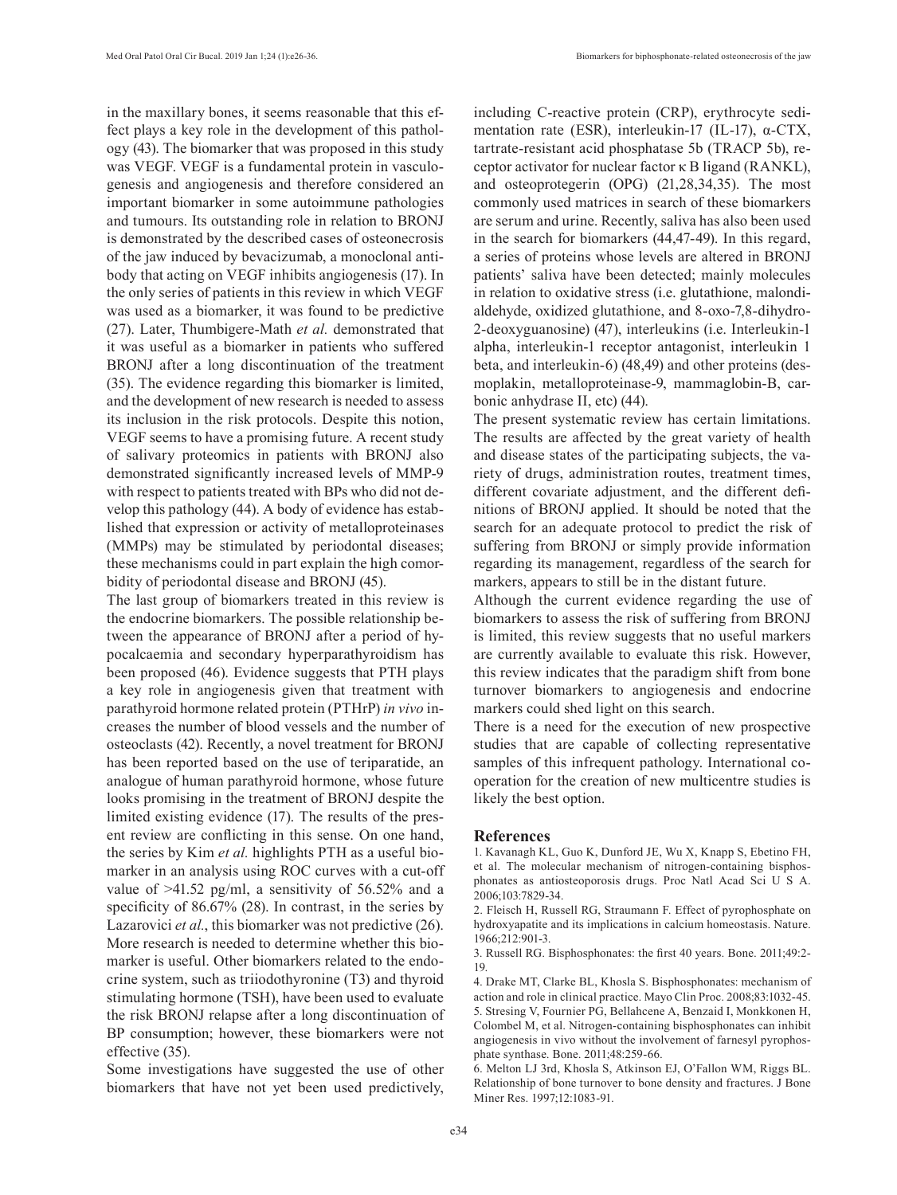in the maxillary bones, it seems reasonable that this effect plays a key role in the development of this pathology (43). The biomarker that was proposed in this study was VEGF. VEGF is a fundamental protein in vasculogenesis and angiogenesis and therefore considered an important biomarker in some autoimmune pathologies and tumours. Its outstanding role in relation to BRONJ is demonstrated by the described cases of osteonecrosis of the jaw induced by bevacizumab, a monoclonal antibody that acting on VEGF inhibits angiogenesis (17). In the only series of patients in this review in which VEGF was used as a biomarker, it was found to be predictive (27). Later, Thumbigere-Math *et al.* demonstrated that it was useful as a biomarker in patients who suffered BRONJ after a long discontinuation of the treatment (35). The evidence regarding this biomarker is limited, and the development of new research is needed to assess its inclusion in the risk protocols. Despite this notion, VEGF seems to have a promising future. A recent study of salivary proteomics in patients with BRONJ also demonstrated significantly increased levels of MMP-9 with respect to patients treated with BPs who did not develop this pathology (44). A body of evidence has established that expression or activity of metalloproteinases (MMPs) may be stimulated by periodontal diseases; these mechanisms could in part explain the high comorbidity of periodontal disease and BRONJ (45).

The last group of biomarkers treated in this review is the endocrine biomarkers. The possible relationship between the appearance of BRONJ after a period of hypocalcaemia and secondary hyperparathyroidism has been proposed (46). Evidence suggests that PTH plays a key role in angiogenesis given that treatment with parathyroid hormone related protein (PTHrP) *in vivo* increases the number of blood vessels and the number of osteoclasts (42). Recently, a novel treatment for BRONJ has been reported based on the use of teriparatide, an analogue of human parathyroid hormone, whose future looks promising in the treatment of BRONJ despite the limited existing evidence (17). The results of the present review are conflicting in this sense. On one hand, the series by Kim *et al.* highlights PTH as a useful biomarker in an analysis using ROC curves with a cut-off value of >41.52 pg/ml, a sensitivity of 56.52% and a specificity of 86.67% (28). In contrast, in the series by Lazarovici *et al.*, this biomarker was not predictive (26). More research is needed to determine whether this biomarker is useful. Other biomarkers related to the endocrine system, such as triiodothyronine (T3) and thyroid stimulating hormone (TSH), have been used to evaluate the risk BRONJ relapse after a long discontinuation of BP consumption; however, these biomarkers were not effective (35).

Some investigations have suggested the use of other biomarkers that have not yet been used predictively,

including C-reactive protein (CRP), erythrocyte sedimentation rate (ESR), interleukin-17 (IL-17), α-CTX, tartrate-resistant acid phosphatase 5b (TRACP 5b), receptor activator for nuclear factor κ B ligand (RANKL), and osteoprotegerin (OPG) (21,28,34,35). The most commonly used matrices in search of these biomarkers are serum and urine. Recently, saliva has also been used in the search for biomarkers (44,47-49). In this regard, a series of proteins whose levels are altered in BRONJ patients' saliva have been detected; mainly molecules in relation to oxidative stress (i.e. glutathione, malondialdehyde, oxidized glutathione, and 8-oxo-7,8-dihydro-2-deoxyguanosine) (47), interleukins (i.e. Interleukin-1 alpha, interleukin-1 receptor antagonist, interleukin 1 beta, and interleukin-6) (48,49) and other proteins (desmoplakin, metalloproteinase-9, mammaglobin-B, carbonic anhydrase II, etc) (44).

The present systematic review has certain limitations. The results are affected by the great variety of health and disease states of the participating subjects, the variety of drugs, administration routes, treatment times, different covariate adjustment, and the different definitions of BRONJ applied. It should be noted that the search for an adequate protocol to predict the risk of suffering from BRONJ or simply provide information regarding its management, regardless of the search for markers, appears to still be in the distant future.

Although the current evidence regarding the use of biomarkers to assess the risk of suffering from BRONJ is limited, this review suggests that no useful markers are currently available to evaluate this risk. However, this review indicates that the paradigm shift from bone turnover biomarkers to angiogenesis and endocrine markers could shed light on this search.

There is a need for the execution of new prospective studies that are capable of collecting representative samples of this infrequent pathology. International cooperation for the creation of new multicentre studies is likely the best option.

#### **References**

1. Kavanagh KL, Guo K, Dunford JE, Wu X, Knapp S, Ebetino FH, et al. The molecular mechanism of nitrogen-containing bisphosphonates as antiosteoporosis drugs. Proc Natl Acad Sci U S A. 2006;103:7829-34.

2. Fleisch H, Russell RG, Straumann F. Effect of pyrophosphate on hydroxyapatite and its implications in calcium homeostasis. Nature. 1966;212:901-3.

3. Russell RG. Bisphosphonates: the first 40 years. Bone. 2011;49:2- 19.

4. Drake MT, Clarke BL, Khosla S. Bisphosphonates: mechanism of action and role in clinical practice. Mayo Clin Proc. 2008;83:1032-45. 5. Stresing V, Fournier PG, Bellahcene A, Benzaid I, Monkkonen H, Colombel M, et al. Nitrogen-containing bisphosphonates can inhibit angiogenesis in vivo without the involvement of farnesyl pyrophosphate synthase. Bone. 2011;48:259-66.

6. Melton LJ 3rd, Khosla S, Atkinson EJ, O'Fallon WM, Riggs BL. Relationship of bone turnover to bone density and fractures. J Bone Miner Res. 1997;12:1083-91.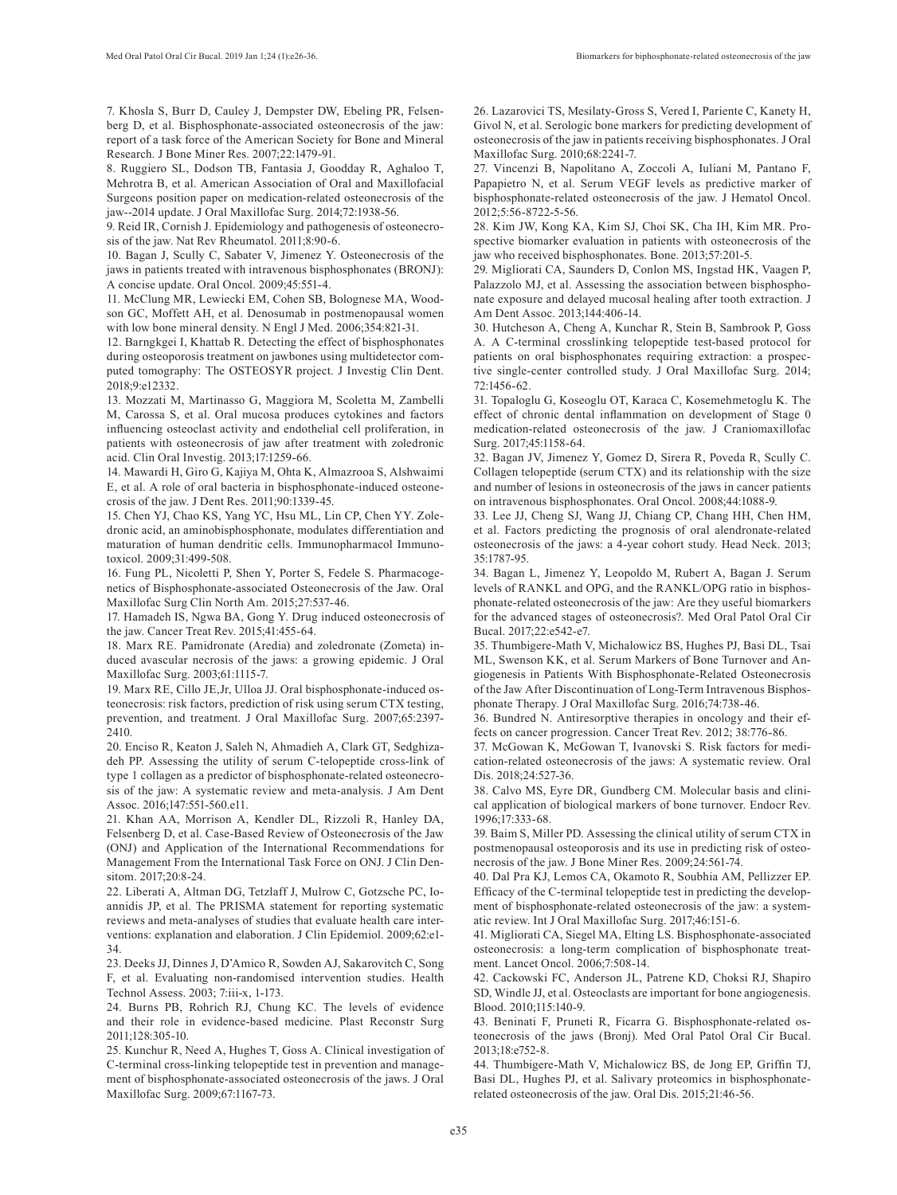7. Khosla S, Burr D, Cauley J, Dempster DW, Ebeling PR, Felsenberg D, et al. Bisphosphonate-associated osteonecrosis of the jaw: report of a task force of the American Society for Bone and Mineral Research. J Bone Miner Res. 2007;22:1479-91.

8. Ruggiero SL, Dodson TB, Fantasia J, Goodday R, Aghaloo T, Mehrotra B, et al. American Association of Oral and Maxillofacial Surgeons position paper on medication-related osteonecrosis of the jaw--2014 update. J Oral Maxillofac Surg. 2014;72:1938-56.

9. Reid IR, Cornish J. Epidemiology and pathogenesis of osteonecrosis of the jaw. Nat Rev Rheumatol. 2011;8:90-6.

10. Bagan J, Scully C, Sabater V, Jimenez Y. Osteonecrosis of the jaws in patients treated with intravenous bisphosphonates (BRONJ): A concise update. Oral Oncol. 2009;45:551-4.

11. McClung MR, Lewiecki EM, Cohen SB, Bolognese MA, Woodson GC, Moffett AH, et al. Denosumab in postmenopausal women with low bone mineral density. N Engl J Med. 2006;354:821-31.

12. Barngkgei I, Khattab R. Detecting the effect of bisphosphonates during osteoporosis treatment on jawbones using multidetector computed tomography: The OSTEOSYR project. J Investig Clin Dent. 2018;9:e12332.

13. Mozzati M, Martinasso G, Maggiora M, Scoletta M, Zambelli M, Carossa S, et al. Oral mucosa produces cytokines and factors influencing osteoclast activity and endothelial cell proliferation, in patients with osteonecrosis of jaw after treatment with zoledronic acid. Clin Oral Investig. 2013;17:1259-66.

14. Mawardi H, Giro G, Kajiya M, Ohta K, Almazrooa S, Alshwaimi E, et al. A role of oral bacteria in bisphosphonate-induced osteonecrosis of the jaw. J Dent Res. 2011;90:1339-45.

15. Chen YJ, Chao KS, Yang YC, Hsu ML, Lin CP, Chen YY. Zoledronic acid, an aminobisphosphonate, modulates differentiation and maturation of human dendritic cells. Immunopharmacol Immunotoxicol. 2009;31:499-508.

16. Fung PL, Nicoletti P, Shen Y, Porter S, Fedele S. Pharmacogenetics of Bisphosphonate-associated Osteonecrosis of the Jaw. Oral Maxillofac Surg Clin North Am. 2015;27:537-46.

17. Hamadeh IS, Ngwa BA, Gong Y. Drug induced osteonecrosis of the jaw. Cancer Treat Rev. 2015;41:455-64.

18. Marx RE. Pamidronate (Aredia) and zoledronate (Zometa) induced avascular necrosis of the jaws: a growing epidemic. J Oral Maxillofac Surg. 2003;61:1115-7.

19. Marx RE, Cillo JE,Jr, Ulloa JJ. Oral bisphosphonate-induced osteonecrosis: risk factors, prediction of risk using serum CTX testing, prevention, and treatment. J Oral Maxillofac Surg. 2007;65:2397- 2410.

20. Enciso R, Keaton J, Saleh N, Ahmadieh A, Clark GT, Sedghizadeh PP. Assessing the utility of serum C-telopeptide cross-link of type 1 collagen as a predictor of bisphosphonate-related osteonecrosis of the jaw: A systematic review and meta-analysis. J Am Dent Assoc. 2016;147:551-560.e11.

21. Khan AA, Morrison A, Kendler DL, Rizzoli R, Hanley DA, Felsenberg D, et al. Case-Based Review of Osteonecrosis of the Jaw (ONJ) and Application of the International Recommendations for Management From the International Task Force on ONJ. J Clin Densitom. 2017;20:8-24.

22. Liberati A, Altman DG, Tetzlaff J, Mulrow C, Gotzsche PC, Ioannidis JP, et al. The PRISMA statement for reporting systematic reviews and meta-analyses of studies that evaluate health care interventions: explanation and elaboration. J Clin Epidemiol. 2009;62:e1- 34.

23. Deeks JJ, Dinnes J, D'Amico R, Sowden AJ, Sakarovitch C, Song F, et al. Evaluating non-randomised intervention studies. Health Technol Assess. 2003; 7:iii-x, 1-173.

24. Burns PB, Rohrich RJ, Chung KC. The levels of evidence and their role in evidence-based medicine. Plast Reconstr Surg 2011;128:305-10.

25. Kunchur R, Need A, Hughes T, Goss A. Clinical investigation of C-terminal cross-linking telopeptide test in prevention and management of bisphosphonate-associated osteonecrosis of the jaws. J Oral Maxillofac Surg. 2009;67:1167-73.

26. Lazarovici TS, Mesilaty-Gross S, Vered I, Pariente C, Kanety H, Givol N, et al. Serologic bone markers for predicting development of osteonecrosis of the jaw in patients receiving bisphosphonates. J Oral Maxillofac Surg. 2010;68:2241-7.

27. Vincenzi B, Napolitano A, Zoccoli A, Iuliani M, Pantano F, Papapietro N, et al. Serum VEGF levels as predictive marker of bisphosphonate-related osteonecrosis of the jaw. J Hematol Oncol. 2012;5:56-8722-5-56.

28. Kim JW, Kong KA, Kim SJ, Choi SK, Cha IH, Kim MR. Prospective biomarker evaluation in patients with osteonecrosis of the jaw who received bisphosphonates. Bone. 2013;57:201-5.

29. Migliorati CA, Saunders D, Conlon MS, Ingstad HK, Vaagen P, Palazzolo MJ, et al. Assessing the association between bisphosphonate exposure and delayed mucosal healing after tooth extraction. J Am Dent Assoc. 2013;144:406-14.

30. Hutcheson A, Cheng A, Kunchar R, Stein B, Sambrook P, Goss A. A C-terminal crosslinking telopeptide test-based protocol for patients on oral bisphosphonates requiring extraction: a prospective single-center controlled study. J Oral Maxillofac Surg. 2014; 72:1456-62.

31. Topaloglu G, Koseoglu OT, Karaca C, Kosemehmetoglu K. The effect of chronic dental inflammation on development of Stage 0 medication-related osteonecrosis of the jaw. J Craniomaxillofac Surg. 2017;45:1158-64.

32. Bagan JV, Jimenez Y, Gomez D, Sirera R, Poveda R, Scully C. Collagen telopeptide (serum CTX) and its relationship with the size and number of lesions in osteonecrosis of the jaws in cancer patients on intravenous bisphosphonates. Oral Oncol. 2008;44:1088-9.

33. Lee JJ, Cheng SJ, Wang JJ, Chiang CP, Chang HH, Chen HM, et al. Factors predicting the prognosis of oral alendronate-related osteonecrosis of the jaws: a 4-year cohort study. Head Neck. 2013; 35:1787-95.

34. Bagan L, Jimenez Y, Leopoldo M, Rubert A, Bagan J. Serum levels of RANKL and OPG, and the RANKL/OPG ratio in bisphosphonate-related osteonecrosis of the jaw: Are they useful biomarkers for the advanced stages of osteonecrosis?. Med Oral Patol Oral Cir Bucal. 2017;22:e542-e7.

35. Thumbigere-Math V, Michalowicz BS, Hughes PJ, Basi DL, Tsai ML, Swenson KK, et al. Serum Markers of Bone Turnover and Angiogenesis in Patients With Bisphosphonate-Related Osteonecrosis of the Jaw After Discontinuation of Long-Term Intravenous Bisphosphonate Therapy. J Oral Maxillofac Surg. 2016;74:738-46.

36. Bundred N. Antiresorptive therapies in oncology and their effects on cancer progression. Cancer Treat Rev. 2012; 38:776-86.

37. McGowan K, McGowan T, Ivanovski S. Risk factors for medication-related osteonecrosis of the jaws: A systematic review. Oral Dis. 2018;24:527-36.

38. Calvo MS, Eyre DR, Gundberg CM. Molecular basis and clinical application of biological markers of bone turnover. Endocr Rev. 1996;17:333-68.

39. Baim S, Miller PD. Assessing the clinical utility of serum CTX in postmenopausal osteoporosis and its use in predicting risk of osteonecrosis of the jaw. J Bone Miner Res. 2009;24:561-74.

40. Dal Pra KJ, Lemos CA, Okamoto R, Soubhia AM, Pellizzer EP. Efficacy of the C-terminal telopeptide test in predicting the development of bisphosphonate-related osteonecrosis of the jaw: a systematic review. Int J Oral Maxillofac Surg. 2017;46:151-6.

41. Migliorati CA, Siegel MA, Elting LS. Bisphosphonate-associated osteonecrosis: a long-term complication of bisphosphonate treatment. Lancet Oncol. 2006;7:508-14.

42. Cackowski FC, Anderson JL, Patrene KD, Choksi RJ, Shapiro SD, Windle JJ, et al. Osteoclasts are important for bone angiogenesis. Blood. 2010;115:140-9.

43. Beninati F, Pruneti R, Ficarra G. Bisphosphonate-related osteonecrosis of the jaws (Bronj). Med Oral Patol Oral Cir Bucal. 2013;18:e752-8.

44. Thumbigere-Math V, Michalowicz BS, de Jong EP, Griffin TJ, Basi DL, Hughes PJ, et al. Salivary proteomics in bisphosphonaterelated osteonecrosis of the jaw. Oral Dis. 2015;21:46-56.